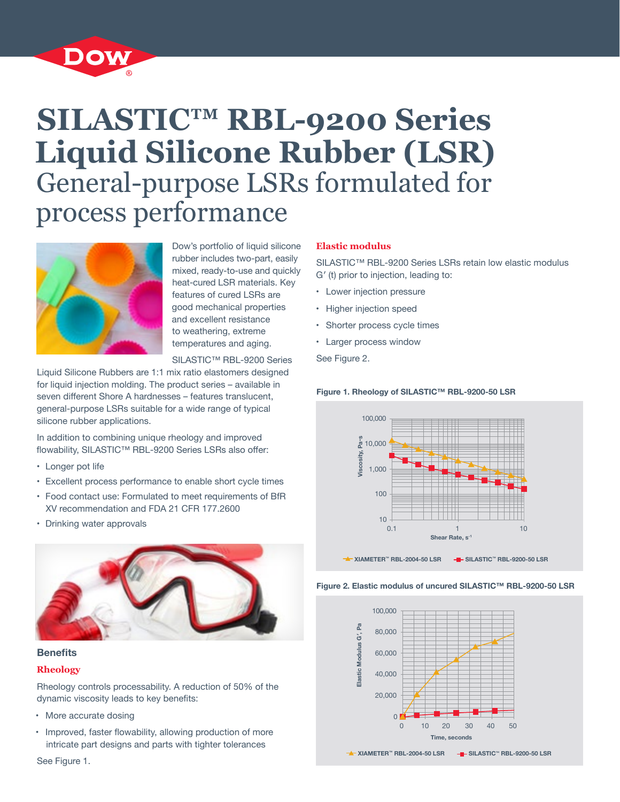

# **SILASTIC™ RBL-9200 Series Liquid Silicone Rubber (LSR)** General-purpose LSRs formulated for process performance



Dow's portfolio of liquid silicone rubber includes two-part, easily mixed, ready-to-use and quickly heat-cured LSR materials. Key features of cured LSRs are good mechanical properties and excellent resistance to weathering, extreme temperatures and aging.

SILASTIC™ RBL-9200 Series

Liquid Silicone Rubbers are 1:1 mix ratio elastomers designed for liquid injection molding. The product series – available in seven different Shore A hardnesses – features translucent, general-purpose LSRs suitable for a wide range of typical silicone rubber applications.

In addition to combining unique rheology and improved flowability, SILASTIC™ RBL-9200 Series LSRs also offer:

- Longer pot life
- Excellent process performance to enable short cycle times
- Food contact use: Formulated to meet requirements of BfR XV recommendation and FDA 21 CFR 177.2600
- Drinking water approvals



## **Benefits**

## **Rheology**

Rheology controls processability. A reduction of 50% of the dynamic viscosity leads to key benefits:

- More accurate dosing
- Improved, faster flowability, allowing production of more intricate part designs and parts with tighter tolerances

## See Figure 1.

## **Elastic modulus**

SILASTIC™ RBL-9200 Series LSRs retain low elastic modulus G′ (t) prior to injection, leading to:

- Lower injection pressure
- Higher injection speed
- Shorter process cycle times
- Larger process window

See Figure 2.

### **Figure 1. Rheology of SILASTIC™ RBL-9200-50 LSR**